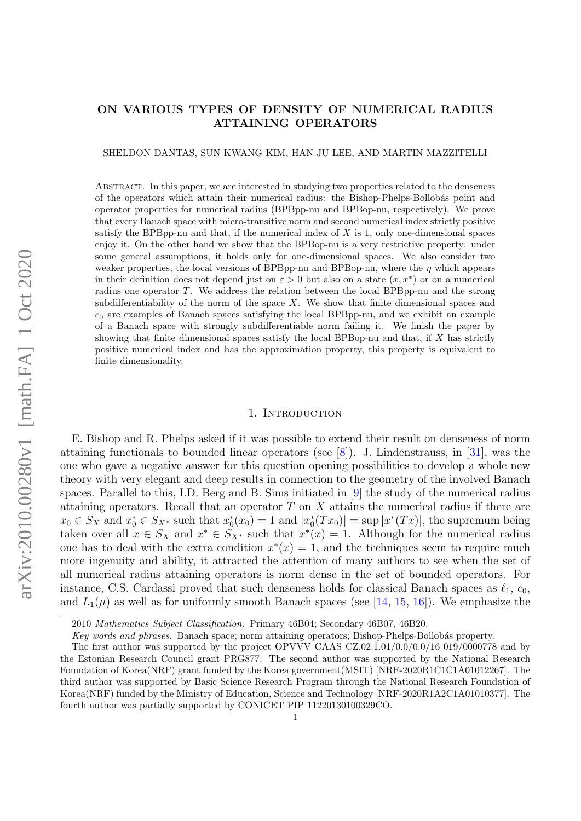## ON VARIOUS TYPES OF DENSITY OF NUMERICAL RADIUS ATTAINING OPERATORS

SHELDON DANTAS, SUN KWANG KIM, HAN JU LEE, AND MARTIN MAZZITELLI

Abstract. In this paper, we are interested in studying two properties related to the denseness of the operators which attain their numerical radius: the Bishop-Phelps-Bollobás point and operator properties for numerical radius (BPBpp-nu and BPBop-nu, respectively). We prove that every Banach space with micro-transitive norm and second numerical index strictly positive satisfy the BPBpp-nu and that, if the numerical index of  $X$  is 1, only one-dimensional spaces enjoy it. On the other hand we show that the BPBop-nu is a very restrictive property: under some general assumptions, it holds only for one-dimensional spaces. We also consider two weaker properties, the local versions of BPBpp-nu and BPBop-nu, where the  $\eta$  which appears in their definition does not depend just on  $\varepsilon > 0$  but also on a state  $(x, x^*)$  or on a numerical radius one operator T. We address the relation between the local BPBpp-nu and the strong subdifferentiability of the norm of the space  $X$ . We show that finite dimensional spaces and  $c_0$  are examples of Banach spaces satisfying the local BPBpp-nu, and we exhibit an example of a Banach space with strongly subdifferentiable norm failing it. We finish the paper by showing that finite dimensional spaces satisfy the local BPBop-nu and that, if  $X$  has strictly positive numerical index and has the approximation property, this property is equivalent to finite dimensionality.

### 1. INTRODUCTION

E. Bishop and R. Phelps asked if it was possible to extend their result on denseness of norm attaining functionals to bounded linear operators (see [\[8\]](#page-14-0)). J. Lindenstrauss, in [\[31\]](#page-15-0), was the one who gave a negative answer for this question opening possibilities to develop a whole new theory with very elegant and deep results in connection to the geometry of the involved Banach spaces. Parallel to this, I.D. Berg and B. Sims initiated in [\[9\]](#page-15-1) the study of the numerical radius attaining operators. Recall that an operator  $T$  on  $X$  attains the numerical radius if there are  $x_0 \in S_X$  and  $x_0^* \in S_{X^*}$  such that  $x_0^*(x_0) = 1$  and  $|x_0^*(Tx_0)| = \sup |x^*(Tx)|$ , the supremum being taken over all  $x \in S_X$  and  $x^* \in S_{X^*}$  such that  $x^*(x) = 1$ . Although for the numerical radius one has to deal with the extra condition  $x^*(x) = 1$ , and the techniques seem to require much more ingenuity and ability, it attracted the attention of many authors to see when the set of all numerical radius attaining operators is norm dense in the set of bounded operators. For instance, C.S. Cardassi proved that such denseness holds for classical Banach spaces as  $\ell_1$ ,  $c_0$ , and  $L_1(\mu)$  as well as for uniformly smooth Banach spaces (see [\[14,](#page-15-2) [15,](#page-15-3) [16\]](#page-15-4)). We emphasize the

<sup>2010</sup> Mathematics Subject Classification. Primary 46B04; Secondary 46B07, 46B20.

Key words and phrases. Banach space; norm attaining operators; Bishop-Phelps-Bollobás property.

The first author was supported by the project OPVVV CAAS CZ.02.1.01/0.0/0.0/16 019/0000778 and by the Estonian Research Council grant PRG877. The second author was supported by the National Research Foundation of Korea(NRF) grant funded by the Korea government(MSIT) [NRF-2020R1C1C1A01012267]. The third author was supported by Basic Science Research Program through the National Research Foundation of Korea(NRF) funded by the Ministry of Education, Science and Technology [NRF-2020R1A2C1A01010377]. The fourth author was partially supported by CONICET PIP 11220130100329CO.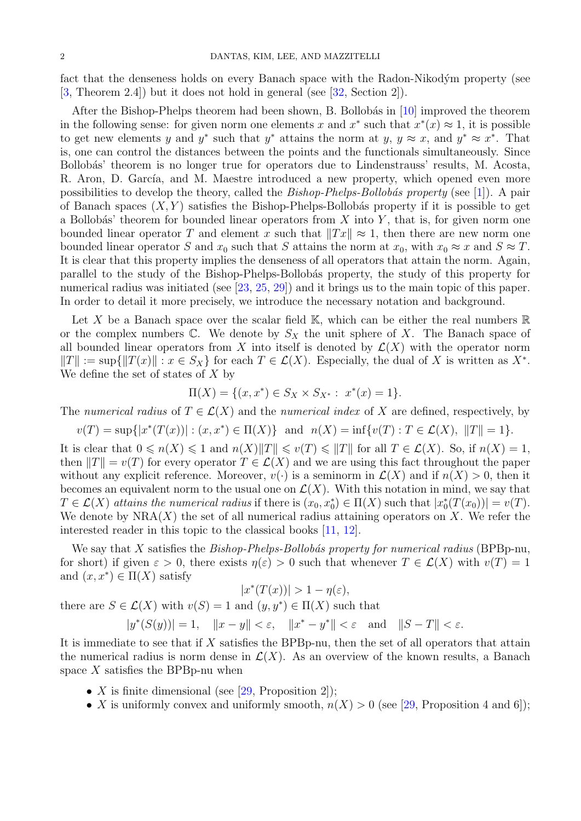fact that the denseness holds on every Banach space with the Radon-Nikodým property (see [\[3,](#page-14-1) Theorem 2.4]) but it does not hold in general (see [\[32,](#page-15-5) Section 2]).

After the Bishop-Phelps theorem had been shown, B. Bollobás in  $[10]$  improved the theorem in the following sense: for given norm one elements x and  $x^*$  such that  $x^*(x) \approx 1$ , it is possible to get new elements y and y<sup>\*</sup> such that y<sup>\*</sup> attains the norm at y,  $y \approx x$ , and  $y^* \approx x^*$ . That is, one can control the distances between the points and the functionals simultaneously. Since Bollobás' theorem is no longer true for operators due to Lindenstrauss' results, M. Acosta, R. Aron, D. García, and M. Maestre introduced a new property, which opened even more possibilities to develop the theory, called the  $Bishop-Phelps-Bollobás property$  (see [\[1\]](#page-14-2)). A pair of Banach spaces  $(X, Y)$  satisfies the Bishop-Phelps-Bollobás property if it is possible to get a Bollobás' theorem for bounded linear operators from X into Y, that is, for given norm one bounded linear operator T and element x such that  $||Tx|| \approx 1$ , then there are new norm one bounded linear operator S and  $x_0$  such that S attains the norm at  $x_0$ , with  $x_0 \approx x$  and  $S \approx T$ . It is clear that this property implies the denseness of all operators that attain the norm. Again, parallel to the study of the Bishop-Phelps-Bollob´as property, the study of this property for numerical radius was initiated (see [\[23,](#page-15-7) [25,](#page-15-8) [29\]](#page-15-9)) and it brings us to the main topic of this paper. In order to detail it more precisely, we introduce the necessary notation and background.

Let X be a Banach space over the scalar field  $\mathbb{K}$ , which can be either the real numbers  $\mathbb{R}$ or the complex numbers  $\mathbb{C}$ . We denote by  $S_X$  the unit sphere of X. The Banach space of all bounded linear operators from X into itself is denoted by  $\mathcal{L}(X)$  with the operator norm  $||T|| := \sup{||T(x)|| : x \in S_X}$  for each  $T \in \mathcal{L}(X)$ . Especially, the dual of X is written as  $X^*$ . We define the set of states of  $X$  by

$$
\Pi(X) = \{(x, x^*) \in S_X \times S_{X^*} : x^*(x) = 1\}.
$$

The numerical radius of  $T \in \mathcal{L}(X)$  and the numerical index of X are defined, respectively, by

$$
v(T) = \sup\{|x^*(T(x))| : (x, x^*) \in \Pi(X)\}\
$$
and  $n(X) = \inf\{v(T) : T \in \mathcal{L}(X), ||T|| = 1\}.$ 

It is clear that  $0 \le n(X) \le 1$  and  $n(X)\|T\| \le v(T) \le \|T\|$  for all  $T \in \mathcal{L}(X)$ . So, if  $n(X) = 1$ , then  $||T|| = v(T)$  for every operator  $T \in \mathcal{L}(X)$  and we are using this fact throughout the paper without any explicit reference. Moreover,  $v(\cdot)$  is a seminorm in  $\mathcal{L}(X)$  and if  $n(X) > 0$ , then it becomes an equivalent norm to the usual one on  $\mathcal{L}(X)$ . With this notation in mind, we say that  $T \in \mathcal{L}(X)$  attains the numerical radius if there is  $(x_0, x_0^*) \in \Pi(X)$  such that  $|x_0^*(T(x_0))| = v(T)$ . We denote by  $NRA(X)$  the set of all numerical radius attaining operators on X. We refer the interested reader in this topic to the classical books [\[11,](#page-15-10) [12\]](#page-15-11).

We say that  $X$  satisfies the *Bishop-Phelps-Bollobás property for numerical radius* (BPBp-nu, for short) if given  $\varepsilon > 0$ , there exists  $\eta(\varepsilon) > 0$  such that whenever  $T \in \mathcal{L}(X)$  with  $v(T) = 1$ and  $(x, x^*) \in \Pi(X)$  satisfy

$$
|x^*(T(x))| > 1 - \eta(\varepsilon),
$$

there are  $S \in \mathcal{L}(X)$  with  $v(S) = 1$  and  $(y, y^*) \in \Pi(X)$  such that

 $|y^*(S(y))| = 1, \quad ||x - y|| < \varepsilon, \quad ||x^* - y^*|| < \varepsilon \text{ and } \quad ||S - T|| < \varepsilon.$ 

It is immediate to see that if X satisfies the BPBp-nu, then the set of all operators that attain the numerical radius is norm dense in  $\mathcal{L}(X)$ . As an overview of the known results, a Banach space  $X$  satisfies the BPBp-nu when

- X is finite dimensional (see [\[29,](#page-15-9) Proposition 2]);
- X is uniformly convex and uniformly smooth,  $n(X) > 0$  (see [\[29,](#page-15-9) Proposition 4 and 6]);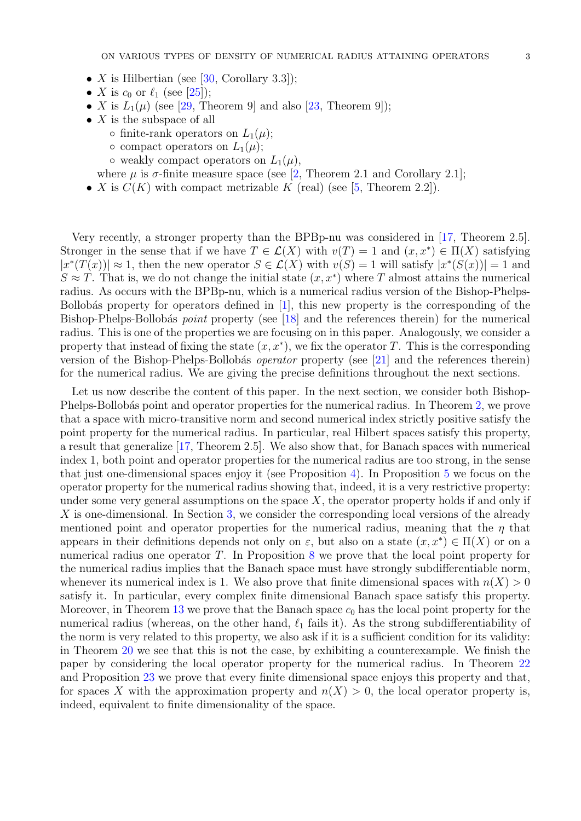- X is Hilbertian (see [\[30,](#page-15-12) Corollary 3.3]);
- X is  $c_0$  or  $\ell_1$  (see [\[25\]](#page-15-8));
- X is  $L_1(\mu)$  (see [\[29,](#page-15-9) Theorem 9] and also [\[23,](#page-15-7) Theorem 9]);
- $X$  is the subspace of all
	- $\circ$  finite-rank operators on  $L_1(\mu)$ ;
	- $\circ$  compact operators on  $L_1(\mu);$
	- $\circ$  weakly compact operators on  $L_1(\mu)$ ,
	- where  $\mu$  is  $\sigma$ -finite measure space (see [\[2,](#page-14-3) Theorem 2.1 and Corollary 2.1];
- X is  $C(K)$  with compact metrizable K (real) (see [\[5,](#page-14-4) Theorem 2.2]).

Very recently, a stronger property than the BPBp-nu was considered in [\[17,](#page-15-13) Theorem 2.5]. Stronger in the sense that if we have  $T \in \mathcal{L}(X)$  with  $v(T) = 1$  and  $(x, x^*) \in \Pi(X)$  satisfying  $|x^*(T(x))| \approx 1$ , then the new operator  $S \in \mathcal{L}(X)$  with  $v(S) = 1$  will satisfy  $|x^*(S(x))| = 1$  and  $S \approx T$ . That is, we do not change the initial state  $(x, x^*)$  where T almost attains the numerical radius. As occurs with the BPBp-nu, which is a numerical radius version of the Bishop-Phelps-Bollobás property for operators defined in  $[1]$ , this new property is the corresponding of the Bishop-Phelps-Bollobás *point* property (see [\[18\]](#page-15-14) and the references therein) for the numerical radius. This is one of the properties we are focusing on in this paper. Analogously, we consider a property that instead of fixing the state  $(x, x^*)$ , we fix the operator T. This is the corresponding version of the Bishop-Phelps-Bollobás *operator* property (see [\[21\]](#page-15-15) and the references therein) for the numerical radius. We are giving the precise definitions throughout the next sections.

Let us now describe the content of this paper. In the next section, we consider both Bishop-Phelps-Bollobás point and operator properties for the numerical radius. In Theorem [2,](#page-4-0) we prove that a space with micro-transitive norm and second numerical index strictly positive satisfy the point property for the numerical radius. In particular, real Hilbert spaces satisfy this property, a result that generalize [\[17,](#page-15-13) Theorem 2.5]. We also show that, for Banach spaces with numerical index 1, both point and operator properties for the numerical radius are too strong, in the sense that just one-dimensional spaces enjoy it (see Proposition [4\)](#page-5-0). In Proposition [5](#page-6-0) we focus on the operator property for the numerical radius showing that, indeed, it is a very restrictive property: under some very general assumptions on the space  $X$ , the operator property holds if and only if X is one-dimensional. In Section [3,](#page-6-1) we consider the corresponding local versions of the already mentioned point and operator properties for the numerical radius, meaning that the  $\eta$  that appears in their definitions depends not only on  $\varepsilon$ , but also on a state  $(x, x^*) \in \Pi(X)$  or on a numerical radius one operator T. In Proposition [8](#page-7-0) we prove that the local point property for the numerical radius implies that the Banach space must have strongly subdifferentiable norm, whenever its numerical index is 1. We also prove that finite dimensional spaces with  $n(X) > 0$ satisfy it. In particular, every complex finite dimensional Banach space satisfy this property. Moreover, in Theorem [13](#page-8-0) we prove that the Banach space  $c_0$  has the local point property for the numerical radius (whereas, on the other hand,  $\ell_1$  fails it). As the strong subdifferentiability of the norm is very related to this property, we also ask if it is a sufficient condition for its validity: in Theorem [20](#page-11-0) we see that this is not the case, by exhibiting a counterexample. We finish the paper by considering the local operator property for the numerical radius. In Theorem [22](#page-13-0) and Proposition [23](#page-13-1) we prove that every finite dimensional space enjoys this property and that, for spaces X with the approximation property and  $n(X) > 0$ , the local operator property is, indeed, equivalent to finite dimensionality of the space.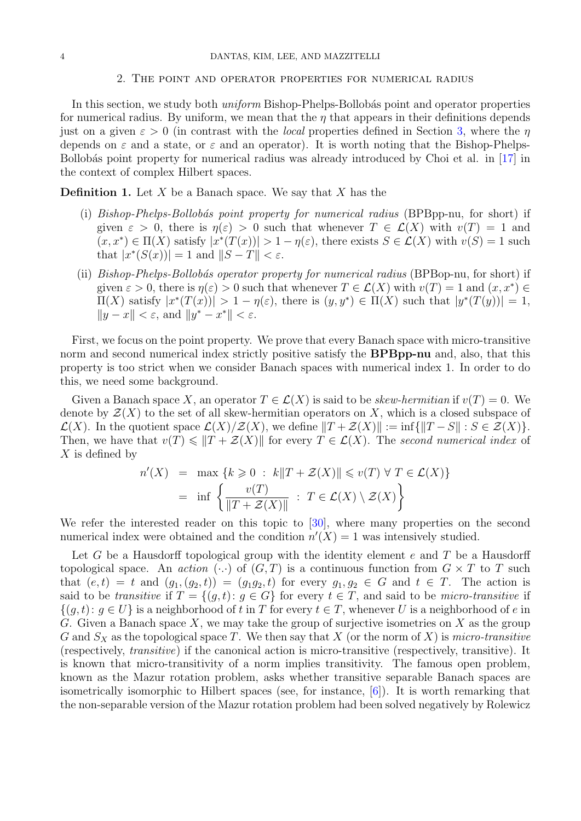#### 2. The point and operator properties for numerical radius

In this section, we study both *uniform* Bishop-Phelps-Bollobás point and operator properties for numerical radius. By uniform, we mean that the  $\eta$  that appears in their definitions depends just on a given  $\varepsilon > 0$  (in contrast with the *local* properties defined in Section [3,](#page-6-1) where the  $\eta$ depends on  $\varepsilon$  and a state, or  $\varepsilon$  and an operator). It is worth noting that the Bishop-Phelps-Bollobás point property for numerical radius was already introduced by Choi et al. in  $[17]$  in the context of complex Hilbert spaces.

**Definition 1.** Let  $X$  be a Banach space. We say that  $X$  has the

- (i) Bishop-Phelps-Bollobás point property for numerical radius (BPBpp-nu, for short) if given  $\varepsilon > 0$ , there is  $\eta(\varepsilon) > 0$  such that whenever  $T \in \mathcal{L}(X)$  with  $v(T) = 1$  and  $(x, x^*) \in \Pi(X)$  satisfy  $|x^*(T(x))| > 1 - \eta(\varepsilon)$ , there exists  $S \in \mathcal{L}(X)$  with  $v(S) = 1$  such that  $|x^*(S(x))|=1$  and  $||S-T|| < \varepsilon$ .
- (ii) Bishop-Phelps-Bollobás operator property for numerical radius (BPBop-nu, for short) if given  $\varepsilon > 0$ , there is  $\eta(\varepsilon) > 0$  such that whenever  $T \in \mathcal{L}(X)$  with  $v(T) = 1$  and  $(x, x^*) \in$  $\Pi(X)$  satisfy  $|x^*(T(x))| > 1 - \eta(\varepsilon)$ , there is  $(y, y^*) \in \Pi(X)$  such that  $|y^*(T(y))| = 1$ ,  $||y - x|| < \varepsilon$ , and  $||y^* - x^*|| < \varepsilon$ .

First, we focus on the point property. We prove that every Banach space with micro-transitive norm and second numerical index strictly positive satisfy the **BPBpp-nu** and, also, that this property is too strict when we consider Banach spaces with numerical index 1. In order to do this, we need some background.

Given a Banach space X, an operator  $T \in \mathcal{L}(X)$  is said to be skew-hermitian if  $v(T) = 0$ . We denote by  $\mathcal{Z}(X)$  to the set of all skew-hermitian operators on X, which is a closed subspace of  $\mathcal{L}(X)$ . In the quotient space  $\mathcal{L}(X)/\mathcal{Z}(X)$ , we define  $||T + \mathcal{Z}(X)|| := \inf{||T - S|| : S \in \mathcal{Z}(X)}$ . Then, we have that  $v(T) \leq \|T + \mathcal{Z}(X)\|$  for every  $T \in \mathcal{L}(X)$ . The second numerical index of  $X$  is defined by

$$
n'(X) = \max \{ k \ge 0 : k ||T + \mathcal{Z}(X)|| \le v(T) \forall T \in \mathcal{L}(X) \}
$$

$$
= \inf \left\{ \frac{v(T)}{||T + \mathcal{Z}(X)||} : T \in \mathcal{L}(X) \setminus \mathcal{Z}(X) \right\}
$$

We refer the interested reader on this topic to [\[30\]](#page-15-12), where many properties on the second numerical index were obtained and the condition  $n'(X) = 1$  was intensively studied.

Let G be a Hausdorff topological group with the identity element  $e$  and  $T$  be a Hausdorff topological space. An action  $(\cdot)$  of  $(G,T)$  is a continuous function from  $G \times T$  to T such that  $(e, t) = t$  and  $(g_1, (g_2, t)) = (g_1g_2, t)$  for every  $g_1, g_2 \in G$  and  $t \in T$ . The action is said to be transitive if  $T = \{(q, t): q \in G\}$  for every  $t \in T$ , and said to be micro-transitive if  $\{(g, t): g \in U\}$  is a neighborhood of t in T for every  $t \in T$ , whenever U is a neighborhood of e in G. Given a Banach space X, we may take the group of surjective isometries on X as the group G and  $S_X$  as the topological space T. We then say that X (or the norm of X) is micro-transitive (respectively, transitive) if the canonical action is micro-transitive (respectively, transitive). It is known that micro-transitivity of a norm implies transitivity. The famous open problem, known as the Mazur rotation problem, asks whether transitive separable Banach spaces are isometrically isomorphic to Hilbert spaces (see, for instance, [\[6\]](#page-14-5)). It is worth remarking that the non-separable version of the Mazur rotation problem had been solved negatively by Rolewicz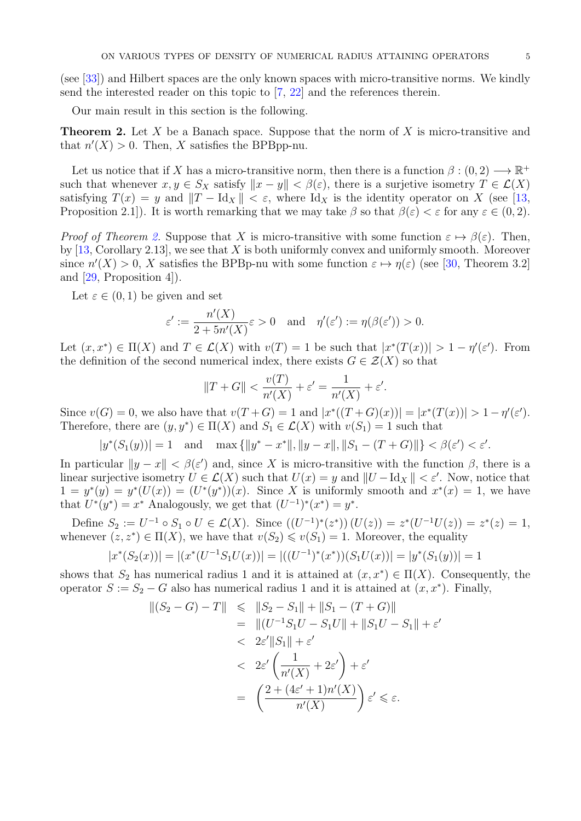(see [\[33\]](#page-15-16)) and Hilbert spaces are the only known spaces with micro-transitive norms. We kindly send the interested reader on this topic to [\[7,](#page-14-6) [22\]](#page-15-17) and the references therein.

Our main result in this section is the following.

<span id="page-4-0"></span>**Theorem 2.** Let X be a Banach space. Suppose that the norm of X is micro-transitive and that  $n'(X) > 0$ . Then, X satisfies the BPBpp-nu.

Let us notice that if X has a micro-transitive norm, then there is a function  $\beta : (0, 2) \longrightarrow \mathbb{R}^+$ such that whenever  $x, y \in S_X$  satisfy  $||x - y|| < \beta(\varepsilon)$ , there is a surjetive isometry  $T \in \mathcal{L}(X)$ satisfying  $T(x) = y$  and  $\|T - \text{Id}_X\| < \varepsilon$ , where  $\text{Id}_X$  is the identity operator on X (see [\[13,](#page-15-18) Proposition 2.1]). It is worth remarking that we may take  $\beta$  so that  $\beta(\varepsilon) < \varepsilon$  for any  $\varepsilon \in (0, 2)$ .

*Proof of Theorem [2.](#page-4-0)* Suppose that X is micro-transitive with some function  $\varepsilon \mapsto \beta(\varepsilon)$ . Then, by  $[13, Corollary 2.13]$  $[13, Corollary 2.13]$ , we see that X is both uniformly convex and uniformly smooth. Moreover since  $n'(X) > 0$ , X satisfies the BPBp-nu with some function  $\varepsilon \mapsto \eta(\varepsilon)$  (see [\[30,](#page-15-12) Theorem 3.2] and [\[29,](#page-15-9) Proposition 4]).

Let  $\varepsilon \in (0,1)$  be given and set

$$
\varepsilon' := \frac{n'(X)}{2 + 5n'(X)} \varepsilon > 0 \quad \text{and} \quad \eta'(\varepsilon') := \eta(\beta(\varepsilon')) > 0.
$$

Let  $(x, x^*) \in \Pi(X)$  and  $T \in \mathcal{L}(X)$  with  $v(T) = 1$  be such that  $|x^*(T(x))| > 1 - \eta'(\varepsilon')$ . From the definition of the second numerical index, there exists  $G \in \mathcal{Z}(X)$  so that

$$
||T+G|| < \frac{v(T)}{n'(X)} + \varepsilon' = \frac{1}{n'(X)} + \varepsilon'.
$$

Since  $v(G) = 0$ , we also have that  $v(T+G) = 1$  and  $|x^*((T+G)(x))| = |x^*(T(x))| > 1 - \eta'(\varepsilon').$ Therefore, there are  $(y, y^*) \in \Pi(X)$  and  $S_1 \in \mathcal{L}(X)$  with  $v(S_1) = 1$  such that

$$
|y^*(S_1(y))| = 1
$$
 and  $\max\{|y^*-x^*\|, \|y-x\|, \|S_1-(T+G)\|\} < \beta(\varepsilon') < \varepsilon'.$ 

In particular  $||y - x|| < \beta(\varepsilon')$  and, since X is micro-transitive with the function  $\beta$ , there is a linear surjective isometry  $U \in \mathcal{L}(X)$  such that  $U(x) = y$  and  $||U - \mathrm{Id}_X|| < \varepsilon'$ . Now, notice that  $1 = y^*(y) = y^*(U(x)) = (U^*(y^*)) (x)$ . Since X is uniformly smooth and  $x^*(x) = 1$ , we have that  $U^*(y^*) = x^*$  Analogously, we get that  $(U^{-1})^*(x^*) = y^*$ .

Define  $S_2 := U^{-1} \circ S_1 \circ U \in \mathcal{L}(X)$ . Since  $((U^{-1})^*(z^*)) (U(z)) = z^*(U^{-1}U(z)) = z^*(z) = 1$ , whenever  $(z, z^*) \in \Pi(X)$ , we have that  $v(S_2) \leq v(S_1) = 1$ . Moreover, the equality

$$
|x^*(S_2(x))| = |(x^*(U^{-1}S_1U(x))| = |((U^{-1})^*(x^*)) (S_1U(x))| = |y^*(S_1(y))| = 1
$$

shows that  $S_2$  has numerical radius 1 and it is attained at  $(x, x^*) \in \Pi(X)$ . Consequently, the operator  $S := S_2 - G$  also has numerical radius 1 and it is attained at  $(x, x^*)$ . Finally,

$$
\begin{aligned} \|(S_2 - G) - T\| &\leq \|S_2 - S_1\| + \|S_1 - (T + G)\| \\ &= \| (U^{-1} S_1 U - S_1 U \| + \|S_1 U - S_1 \| + \varepsilon' \\ &< 2\varepsilon' \|S_1\| + \varepsilon' \\ &< 2\varepsilon' \left( \frac{1}{n'(X)} + 2\varepsilon' \right) + \varepsilon' \\ &= \left( \frac{2 + (4\varepsilon' + 1)n'(X)}{n'(X)} \right) \varepsilon' \leq \varepsilon. \end{aligned}
$$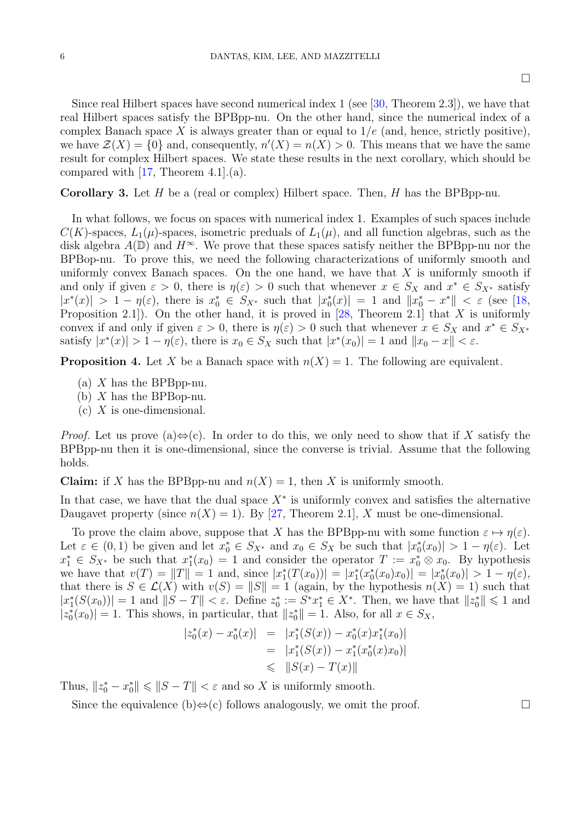$\Box$ 

Since real Hilbert spaces have second numerical index 1 (see [\[30,](#page-15-12) Theorem 2.3]), we have that real Hilbert spaces satisfy the BPBpp-nu. On the other hand, since the numerical index of a complex Banach space X is always greater than or equal to  $1/e$  (and, hence, strictly positive), we have  $\mathcal{Z}(X) = \{0\}$  and, consequently,  $n'(X) = n(X) > 0$ . This means that we have the same result for complex Hilbert spaces. We state these results in the next corollary, which should be compared with  $[17,$  Theorem 4.1. $(a)$ .

**Corollary 3.** Let H be a (real or complex) Hilbert space. Then, H has the BPBpp-nu.

In what follows, we focus on spaces with numerical index 1. Examples of such spaces include  $C(K)$ -spaces,  $L_1(\mu)$ -spaces, isometric preduals of  $L_1(\mu)$ , and all function algebras, such as the disk algebra  $A(\mathbb{D})$  and  $H^{\infty}$ . We prove that these spaces satisfy neither the BPBpp-nu nor the BPBop-nu. To prove this, we need the following characterizations of uniformly smooth and uniformly convex Banach spaces. On the one hand, we have that  $X$  is uniformly smooth if and only if given  $\varepsilon > 0$ , there is  $\eta(\varepsilon) > 0$  such that whenever  $x \in S_X$  and  $x^* \in S_{X^*}$  satisfy  $|x^*(x)| > 1 - \eta(\varepsilon)$ , there is  $x_0^* \in S_{X^*}$  such that  $|x_0^*(x)| = 1$  and  $||x_0^* - x^*|| < \varepsilon$  (see [\[18,](#page-15-14) Proposition 2.1]). On the other hand, it is proved in  $[28,$  Theorem 2.1] that X is uniformly convex if and only if given  $\varepsilon > 0$ , there is  $\eta(\varepsilon) > 0$  such that whenever  $x \in S_X$  and  $x^* \in S_{X^*}$ satisfy  $|x^*(x)| > 1 - \eta(\varepsilon)$ , there is  $x_0 \in S_X$  such that  $|x^*(x_0)| = 1$  and  $||x_0 - x|| < \varepsilon$ .

<span id="page-5-0"></span>**Proposition 4.** Let X be a Banach space with  $n(X) = 1$ . The following are equivalent.

- (a)  $X$  has the BPBpp-nu.
- (b)  $X$  has the BPBop-nu.
- $(c)$  X is one-dimensional.

*Proof.* Let us prove (a) $\Leftrightarrow$  (c). In order to do this, we only need to show that if X satisfy the BPBpp-nu then it is one-dimensional, since the converse is trivial. Assume that the following holds.

**Claim:** if X has the BPBpp-nu and  $n(X) = 1$ , then X is uniformly smooth.

In that case, we have that the dual space  $X^*$  is uniformly convex and satisfies the alternative Daugavet property (since  $n(X) = 1$ ). By [\[27,](#page-15-20) Theorem 2.1], X must be one-dimensional.

To prove the claim above, suppose that X has the BPBpp-nu with some function  $\varepsilon \mapsto \eta(\varepsilon)$ . Let  $\varepsilon \in (0,1)$  be given and let  $x_0^* \in S_{X^*}$  and  $x_0 \in S_X$  be such that  $|x_0^*(x_0)| > 1 - \eta(\varepsilon)$ . Let  $x_1^* \in S_{X^*}$  be such that  $x_1^*(x_0) = 1$  and consider the operator  $T := x_0^* \otimes x_0$ . By hypothesis we have that  $v(T) = ||T|| = 1$  and, since  $|x_1^*(T(x_0))| = |x_1^*(x_0^*(x_0)x_0)| = |x_0^*(x_0)| > 1 - \eta(\varepsilon)$ , that there is  $S \in \mathcal{L}(X)$  with  $v(S) = ||S|| = 1$  (again, by the hypothesis  $n(X) = 1$ ) such that  $|x_1^*(S(x_0))|=1$  and  $||S-T|| < \varepsilon$ . Define  $z_0^* := S^*x_1^* \in X^*$ . Then, we have that  $||z_0^*|| \leq 1$  and  $|z_0^*(x_0)| = 1$ . This shows, in particular, that  $||z_0^*|| = 1$ . Also, for all  $x \in S_X$ ,

$$
|z_0^*(x) - x_0^*(x)| = |x_1^*(S(x)) - x_0^*(x)x_1^*(x_0)|
$$
  
=  $|x_1^*(S(x)) - x_1^*(x_0^*(x)x_0)|$   
 $\leq |S(x) - T(x)|$ 

Thus,  $||z_0^* - x_0^*|| \le ||S - T|| < \varepsilon$  and so X is uniformly smooth.

Since the equivalence (b) $\Leftrightarrow$ (c) follows analogously, we omit the proof.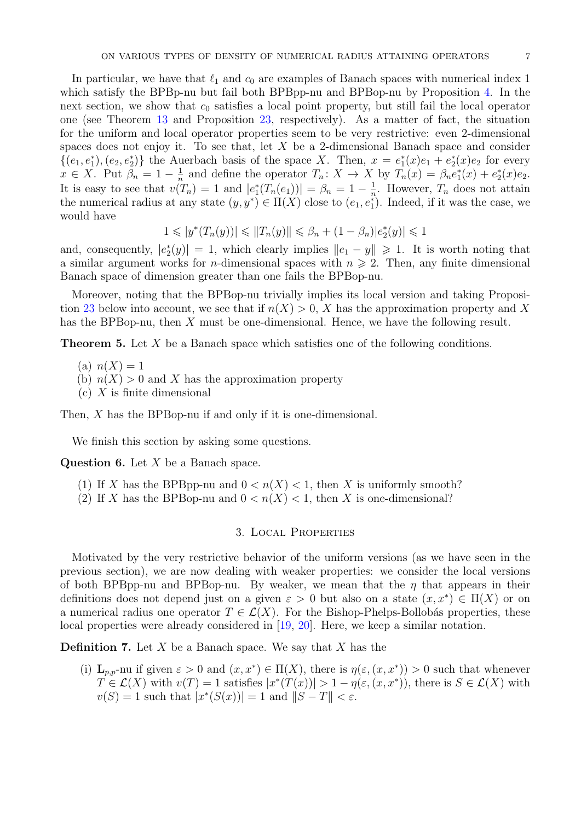In particular, we have that  $\ell_1$  and  $c_0$  are examples of Banach spaces with numerical index 1 which satisfy the BPBp-nu but fail both BPBpp-nu and BPBop-nu by Proposition [4.](#page-5-0) In the next section, we show that  $c_0$  satisfies a local point property, but still fail the local operator one (see Theorem [13](#page-8-0) and Proposition [23,](#page-13-1) respectively). As a matter of fact, the situation for the uniform and local operator properties seem to be very restrictive: even 2-dimensional spaces does not enjoy it. To see that, let  $X$  be a 2-dimensional Banach space and consider  $\{(e_1, e_1^*), (e_2, e_2^*)\}$  the Auerbach basis of the space X. Then,  $x = e_1^*(x)e_1 + e_2^*(x)e_2$  for every  $x \in X$ . Put  $\beta_n = 1 - \frac{1}{n}$  $\frac{1}{n}$  and define the operator  $T_n: X \to X$  by  $T_n(x) = \beta_n e_1^*(x) + e_2^*(x)e_2$ . It is easy to see that  $v(T_n) = 1$  and  $|e_1^*(T_n(e_1))| = \beta_n = 1 - \frac{1}{n}$  $\frac{1}{n}$ . However,  $T_n$  does not attain the numerical radius at any state  $(y, y^*) \in \Pi(X)$  close to  $(e_1, e_1^*)$ . Indeed, if it was the case, we would have

$$
1 \leqslant |y^*(T_n(y))| \leqslant ||T_n(y)|| \leqslant \beta_n + (1 - \beta_n)|e_2^*(y)| \leqslant 1
$$

and, consequently,  $|e_2^*(y)| = 1$ , which clearly implies  $||e_1 - y|| \ge 1$ . It is worth noting that a similar argument works for *n*-dimensional spaces with  $n \geq 2$ . Then, any finite dimensional Banach space of dimension greater than one fails the BPBop-nu.

Moreover, noting that the BPBop-nu trivially implies its local version and taking Proposi-tion [23](#page-13-1) below into account, we see that if  $n(X) > 0$ , X has the approximation property and X has the BPBop-nu, then X must be one-dimensional. Hence, we have the following result.

<span id="page-6-0"></span>Theorem 5. Let X be a Banach space which satisfies one of the following conditions.

- (a)  $n(X) = 1$
- (b)  $n(X) > 0$  and X has the approximation property
- $(c)$  X is finite dimensional

Then, X has the BPBop-nu if and only if it is one-dimensional.

We finish this section by asking some questions.

**Question 6.** Let  $X$  be a Banach space.

- (1) If X has the BPBpp-nu and  $0 < n(X) < 1$ , then X is uniformly smooth?
- <span id="page-6-1"></span>(2) If X has the BPBop-nu and  $0 < n(X) < 1$ , then X is one-dimensional?

### 3. Local Properties

Motivated by the very restrictive behavior of the uniform versions (as we have seen in the previous section), we are now dealing with weaker properties: we consider the local versions of both BPBpp-nu and BPBop-nu. By weaker, we mean that the  $\eta$  that appears in their definitions does not depend just on a given  $\varepsilon > 0$  but also on a state  $(x, x^*) \in \Pi(X)$  or on a numerical radius one operator  $T \in \mathcal{L}(X)$ . For the Bishop-Phelps-Bollobás properties, these local properties were already considered in [\[19,](#page-15-21) [20\]](#page-15-22). Here, we keep a similar notation.

**Definition 7.** Let  $X$  be a Banach space. We say that  $X$  has the

(i)  $\mathbf{L}_{p,p}$ -nu if given  $\varepsilon > 0$  and  $(x, x^*) \in \Pi(X)$ , there is  $\eta(\varepsilon, (x, x^*)) > 0$  such that whenever  $T \in \mathcal{L}(X)$  with  $v(T) = 1$  satisfies  $|x^*(T(x))| > 1 - \eta(\varepsilon, (x, x^*))$ , there is  $S \in \mathcal{L}(X)$  with  $v(S) = 1$  such that  $|x^*(S(x))| = 1$  and  $||S - T|| < \varepsilon$ .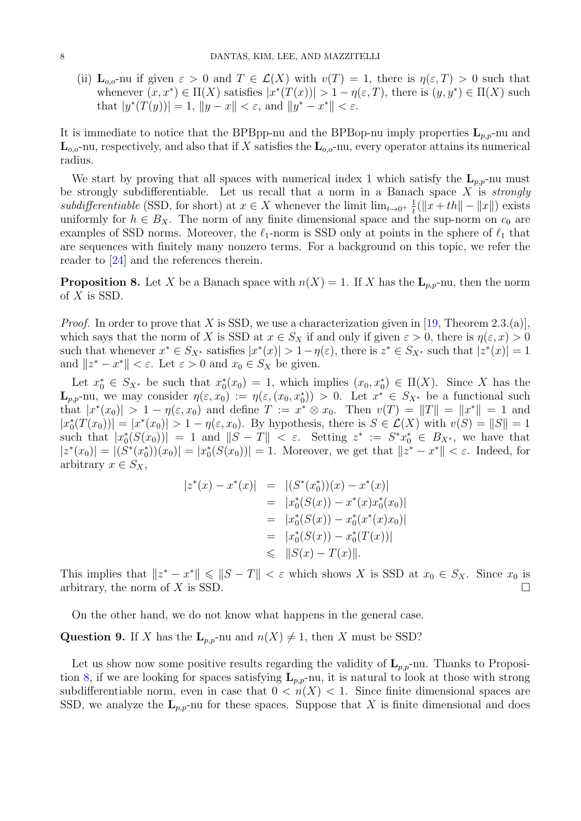(ii)  $\mathbf{L}_{o,o}$ -nu if given  $\varepsilon > 0$  and  $T \in \mathcal{L}(X)$  with  $v(T) = 1$ , there is  $\eta(\varepsilon,T) > 0$  such that whenever  $(x, x^*) \in \Pi(X)$  satisfies  $|x^*(T(x))| > 1 - \eta(\varepsilon, T)$ , there is  $(y, y^*) \in \Pi(X)$  such that  $|y^*(T(y))| = 1$ ,  $||y - x|| < \varepsilon$ , and  $||y^* - x^*|| < \varepsilon$ .

It is immediate to notice that the BPBpp-nu and the BPBop-nu imply properties  $\mathbf{L}_{p,p}$ -nu and  $\mathbf{L}_{o,o}$ -nu, respectively, and also that if X satisfies the  $\mathbf{L}_{o,o}$ -nu, every operator attains its numerical radius.

We start by proving that all spaces with numerical index 1 which satisfy the  $L_{p,p}$ -nu must be strongly subdifferentiable. Let us recall that a norm in a Banach space  $X$  is *strongly* subdifferentiable (SSD, for short) at  $x \in X$  whenever the limit  $\lim_{t\to 0^+} \frac{1}{t}$  $\frac{1}{t}(\|x+th\|-\|x\|)$  exists uniformly for  $h \in B_X$ . The norm of any finite dimensional space and the sup-norm on  $c_0$  are examples of SSD norms. Moreover, the  $\ell_1$ -norm is SSD only at points in the sphere of  $\ell_1$  that are sequences with finitely many nonzero terms. For a background on this topic, we refer the reader to [\[24\]](#page-15-23) and the references therein.

<span id="page-7-0"></span>**Proposition 8.** Let X be a Banach space with  $n(X) = 1$ . If X has the  $\mathbf{L}_{p,p}$ -nu, then the norm of  $X$  is SSD.

*Proof.* In order to prove that X is SSD, we use a characterization given in [\[19,](#page-15-21) Theorem 2.3.(a)], which says that the norm of X is SSD at  $x \in S_X$  if and only if given  $\varepsilon > 0$ , there is  $\eta(\varepsilon, x) > 0$ such that whenever  $x^* \in S_{X^*}$  satisfies  $|x^*(x)| > 1 - \eta(\varepsilon)$ , there is  $z^* \in S_{X^*}$  such that  $|z^*(x)| = 1$ and  $||z^* - x^*|| < \varepsilon$ . Let  $\varepsilon > 0$  and  $x_0 \in S_X$  be given.

Let  $x_0^* \in S_{X^*}$  be such that  $x_0^*(x_0) = 1$ , which implies  $(x_0, x_0^*) \in \Pi(X)$ . Since X has the  $\mathbf{L}_{p,p}$ -nu, we may consider  $\eta(\varepsilon,x_0) := \eta(\varepsilon,(x_0,x_0^*)) > 0$ . Let  $x^* \in S_{X^*}$  be a functional such that  $|x^*(x_0)| > 1 - \eta(\varepsilon, x_0)$  and define  $T := x^* \otimes x_0$ . Then  $v(T) = ||T|| = ||x^*|| = 1$  and  $|x_0^*(T(x_0))|=|x^*(x_0)|>1-\eta(\varepsilon,x_0).$  By hypothesis, there is  $S\in\mathcal{L}(X)$  with  $v(S)=\|S\|=1$ such that  $|x_0^*(S(x_0))|=1$  and  $||S-T|| < \varepsilon$ . Setting  $z^* := S^*x_0^* \in B_{X^*}$ , we have that  $|z^*(x_0)| = |(S^*(x_0^*)) (x_0)| = |x_0^*(S(x_0))| = 1.$  Moreover, we get that  $||z^* - x^*|| < \varepsilon$ . Indeed, for arbitrary  $x \in S_X$ ,

$$
z^*(x) - x^*(x)| = |(S^*(x_0^*))(x) - x^*(x)|
$$
  
\n
$$
= |x_0^*(S(x)) - x^*(x)x_0^*(x_0)|
$$
  
\n
$$
= |x_0^*(S(x)) - x_0^*(x^*(x)x_0)|
$$
  
\n
$$
= |x_0^*(S(x)) - x_0^*(T(x))|
$$
  
\n
$$
\leq ||S(x) - T(x)||.
$$

This implies that  $||z^* - x^*|| \le ||S - T|| < \varepsilon$  which shows X is SSD at  $x_0 \in S_X$ . Since  $x_0$  is arbitrary, the norm of X is SSD.

On the other hand, we do not know what happens in the general case.

**Question 9.** If X has the  $\mathbf{L}_{p,p}$ -nu and  $n(X) \neq 1$ , then X must be SSD?

 $\overline{ }$ 

Let us show now some positive results regarding the validity of  $L_{p,p}$ -nu. Thanks to Proposi-tion [8,](#page-7-0) if we are looking for spaces satisfying  $L_{p,p}$ -nu, it is natural to look at those with strong subdifferentiable norm, even in case that  $0 < n(X) < 1$ . Since finite dimensional spaces are SSD, we analyze the  $\mathbf{L}_{p,p}$ -nu for these spaces. Suppose that X is finite dimensional and does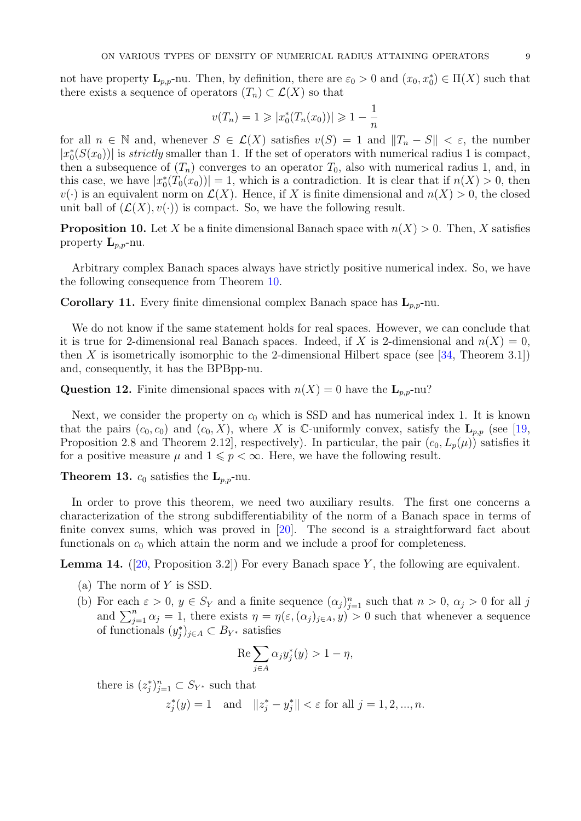not have property  $\mathbf{L}_{p,p}$ -nu. Then, by definition, there are  $\varepsilon_0 > 0$  and  $(x_0, x_0^*) \in \Pi(X)$  such that there exists a sequence of operators  $(T_n) \subset \mathcal{L}(X)$  so that

$$
v(T_n) = 1 \geqslant |x_0^*(T_n(x_0))| \geqslant 1 - \frac{1}{n}
$$

for all  $n \in \mathbb{N}$  and, whenever  $S \in \mathcal{L}(X)$  satisfies  $v(S) = 1$  and  $||T_n - S|| < \varepsilon$ , the number  $|x_0^*(S(x_0))|$  is *strictly* smaller than 1. If the set of operators with numerical radius 1 is compact, then a subsequence of  $(T_n)$  converges to an operator  $T_0$ , also with numerical radius 1, and, in this case, we have  $|x_0^*(T_0(x_0))|=1$ , which is a contradiction. It is clear that if  $n(X)>0$ , then  $v(\cdot)$  is an equivalent norm on  $\mathcal{L}(X)$ . Hence, if X is finite dimensional and  $n(X) > 0$ , the closed unit ball of  $(\mathcal{L}(X), v(\cdot))$  is compact. So, we have the following result.

<span id="page-8-1"></span>**Proposition 10.** Let X be a finite dimensional Banach space with  $n(X) > 0$ . Then, X satisfies property  $L_{p,p}$ -nu.

Arbitrary complex Banach spaces always have strictly positive numerical index. So, we have the following consequence from Theorem [10.](#page-8-1)

**Corollary 11.** Every finite dimensional complex Banach space has  $L_{p,p}$ -nu.

We do not know if the same statement holds for real spaces. However, we can conclude that it is true for 2-dimensional real Banach spaces. Indeed, if X is 2-dimensional and  $n(X) = 0$ , then X is isometrically isomorphic to the 2-dimensional Hilbert space (see  $[34,$  Theorem 3.1]) and, consequently, it has the BPBpp-nu.

**Question 12.** Finite dimensional spaces with  $n(X) = 0$  have the  $\mathbf{L}_{n,p}$ -nu?

Next, we consider the property on  $c_0$  which is SSD and has numerical index 1. It is known that the pairs  $(c_0, c_0)$  and  $(c_0, X)$ , where X is C-uniformly convex, satisfy the  $\mathbf{L}_{p,p}$  (see [\[19,](#page-15-21) Proposition 2.8 and Theorem 2.12], respectively). In particular, the pair  $(c_0, L_p(\mu))$  satisfies it for a positive measure  $\mu$  and  $1 \leqslant p < \infty$ . Here, we have the following result.

<span id="page-8-0"></span>**Theorem 13.**  $c_0$  satisfies the  $\mathbf{L}_{p,p}$ -nu.

In order to prove this theorem, we need two auxiliary results. The first one concerns a characterization of the strong subdifferentiability of the norm of a Banach space in terms of finite convex sums, which was proved in [\[20\]](#page-15-22). The second is a straightforward fact about functionals on  $c_0$  which attain the norm and we include a proof for completeness.

<span id="page-8-2"></span>**Lemma 14.** ([\[20,](#page-15-22) Proposition 3.2]) For every Banach space Y, the following are equivalent.

- (a) The norm of Y is SSD.
- (b) For each  $\varepsilon > 0$ ,  $y \in S_Y$  and a finite sequence  $(\alpha_j)_{j=1}^n$  such that  $n > 0$ ,  $\alpha_j > 0$  for all j and  $\sum_{j=1}^n \alpha_j = 1$ , there exists  $\eta = \eta(\varepsilon, (\alpha_j)_{j \in A}, y) > 0$  such that whenever a sequence of functionals  $(y_j^*)_{j\in A} \subset B_{Y^*}$  satisfies

$$
\operatorname{Re} \sum_{j \in A} \alpha_j y_j^*(y) > 1 - \eta,
$$

there is  $(z_j^*)_{j=1}^n \subset S_{Y^*}$  such that

 $z_j^*(y) = 1$  and  $||z_j^* - y_j^*|| < \varepsilon$  for all  $j = 1, 2, ..., n$ .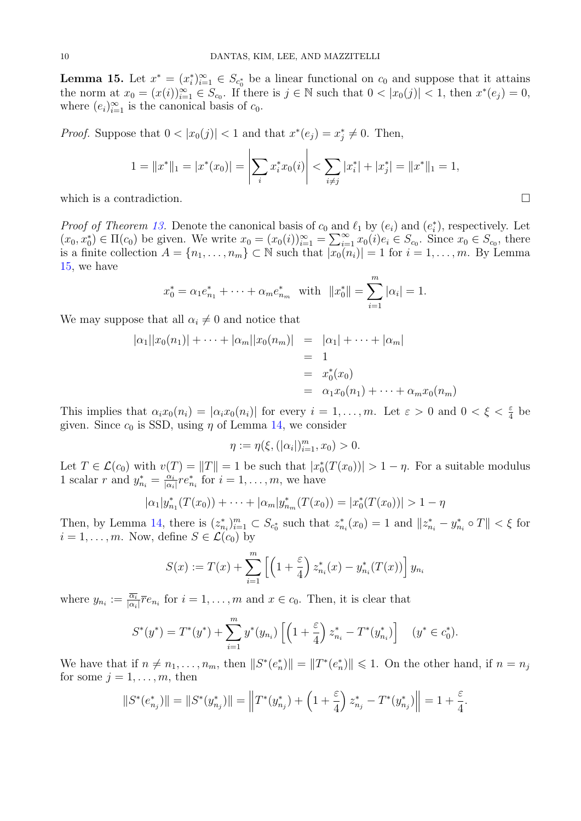<span id="page-9-0"></span>**Lemma 15.** Let  $x^* = (x_i^*)_{i=1}^{\infty} \in S_{c_0^*}$  be a linear functional on  $c_0$  and suppose that it attains the norm at  $x_0 = (x(i))_{i=1}^{\infty} \in S_{c_0}$ . If there is  $j \in \mathbb{N}$  such that  $0 < |x_0(j)| < 1$ , then  $x^*(e_j) = 0$ , where  $(e_i)_{i=1}^{\infty}$  is the canonical basis of  $c_0$ .

*Proof.* Suppose that  $0 < |x_0(j)| < 1$  and that  $x^*(e_j) = x_j^* \neq 0$ . Then,

$$
1 = \|x^*\|_1 = |x^*(x_0)| = \left|\sum_i x_i^* x_0(i)\right| < \sum_{i \neq j} |x_i^*| + |x_j^*| = \|x^*\|_1 = 1,
$$

which is a contradiction.

*Proof of Theorem [13.](#page-8-0)* Denote the canonical basis of  $c_0$  and  $\ell_1$  by  $(e_i)$  and  $(e_i^*)$ , respectively. Let  $(x_0, x_0^*) \in \Pi(c_0)$  be given. We write  $x_0 = (x_0(i))_{i=1}^{\infty} = \sum_{i=1}^{\infty} x_0(i) e_i \in S_{c_0}$ . Since  $x_0 \in S_{c_0}$ , there is a finite collection  $A = \{n_1, \ldots, n_m\} \subset \mathbb{N}$  such that  $|\overline{x_0}(n_i)| = 1$  for  $i = 1, \ldots, m$ . By Lemma [15,](#page-9-0) we have

$$
x_0^* = \alpha_1 e_{n_1}^* + \dots + \alpha_m e_{n_m}^*
$$
 with  $||x_0^*|| = \sum_{i=1}^m |\alpha_i| = 1$ .

We may suppose that all  $\alpha_i \neq 0$  and notice that

$$
|\alpha_1||x_0(n_1)| + \dots + |\alpha_m||x_0(n_m)| = |\alpha_1| + \dots + |\alpha_m|
$$
  
= 1  
=  $x_0^*(x_0)$   
=  $\alpha_1x_0(n_1) + \dots + \alpha_mx_0(n_m)$ 

This implies that  $\alpha_i x_0(n_i) = |\alpha_i x_0(n_i)|$  for every  $i = 1, \ldots, m$ . Let  $\varepsilon > 0$  and  $0 < \xi < \frac{\varepsilon}{4}$  be given. Since  $c_0$  is SSD, using  $\eta$  of Lemma [14,](#page-8-2) we consider

$$
\eta := \eta(\xi, (|\alpha_i|)_{i=1}^m, x_0) > 0.
$$

Let  $T \in \mathcal{L}(c_0)$  with  $v(T) = ||T|| = 1$  be such that  $|x_0^*(T(x_0))| > 1 - \eta$ . For a suitable modulus 1 scalar r and  $y_{n_i}^* = \frac{\alpha_i}{|\alpha_i|}$  $\frac{\alpha_i}{|\alpha_i|} r e_{n_i}^*$  for  $i = 1, \ldots, m$ , we have

$$
|\alpha_1|y^*_{n_1}(T(x_0))+\cdots+|\alpha_m|y^*_{n_m}(T(x_0))=|x^*_0(T(x_0))|>1-\eta
$$

Then, by Lemma [14,](#page-8-2) there is  $(z_{n_i}^*)_{i=1}^m \subset S_{c_0^*}$  such that  $z_{n_i}^*(x_0) = 1$  and  $||z_{n_i}^* - y_{n_i}^* \circ T|| < \xi$  for  $i = 1, \ldots, m$ . Now, define  $S \in \mathcal{L}(c_0)$  by

$$
S(x) := T(x) + \sum_{i=1}^{m} \left[ \left( 1 + \frac{\varepsilon}{4} \right) z_{n_i}^*(x) - y_{n_i}^*(T(x)) \right] y_{n_i}
$$

where  $y_{n_i} := \frac{\overline{\alpha_i}}{|\alpha_i|} \overline{r} e_{n_i}$  for  $i = 1, \ldots, m$  and  $x \in c_0$ . Then, it is clear that

$$
S^*(y^*) = T^*(y^*) + \sum_{i=1}^m y^*(y_{n_i}) \left[ \left( 1 + \frac{\varepsilon}{4} \right) z_{n_i}^* - T^*(y_{n_i}^*) \right] \quad (y^* \in c_0^*).
$$

We have that if  $n \neq n_1, \ldots, n_m$ , then  $||S^*(e_n^*)|| = ||T^*(e_n^*)|| \leq 1$ . On the other hand, if  $n = n_j$ for some  $j = 1, \ldots, m$ , then

$$
||S^*(e_{n_j}^*)|| = ||S^*(y_{n_j}^*)|| = \left||T^*(y_{n_j}^*) + \left(1 + \frac{\varepsilon}{4}\right)z_{n_j}^* - T^*(y_{n_j}^*)\right|| = 1 + \frac{\varepsilon}{4}.
$$

$$
\Box
$$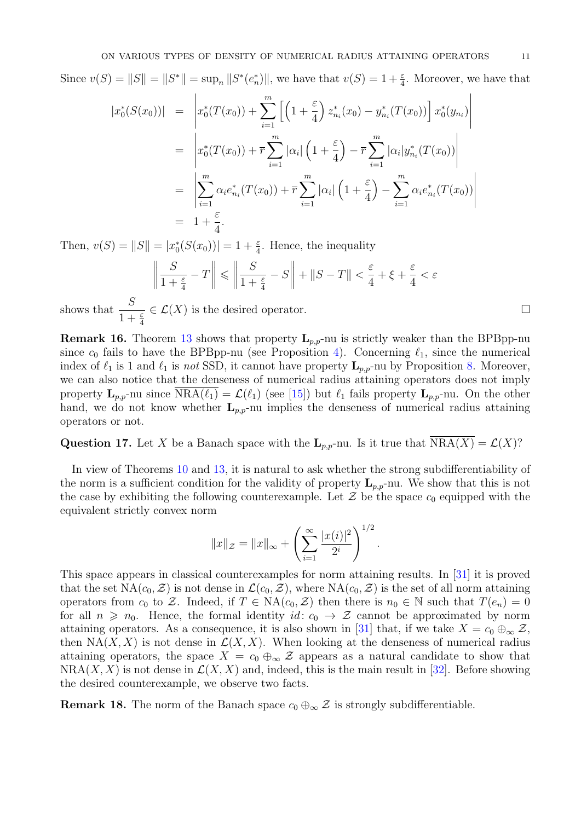Since  $v(S) = ||S|| = ||S^*|| = \sup_n ||S^*(e_n^*)||$ , we have that  $v(S) = 1 + \frac{\varepsilon}{4}$ . Moreover, we have that

$$
|x_0^*(S(x_0))| = \left| x_0^*(T(x_0)) + \sum_{i=1}^m \left[ \left( 1 + \frac{\varepsilon}{4} \right) z_{n_i}^*(x_0) - y_{n_i}^*(T(x_0)) \right] x_0^*(y_{n_i}) \right|
$$
  
\n
$$
= \left| x_0^*(T(x_0)) + \overline{r} \sum_{i=1}^m |\alpha_i| \left( 1 + \frac{\varepsilon}{4} \right) - \overline{r} \sum_{i=1}^m |\alpha_i| y_{n_i}^*(T(x_0)) \right|
$$
  
\n
$$
= \left| \sum_{i=1}^m \alpha_i e_{n_i}^*(T(x_0)) + \overline{r} \sum_{i=1}^m |\alpha_i| \left( 1 + \frac{\varepsilon}{4} \right) - \sum_{i=1}^m \alpha_i e_{n_i}^*(T(x_0)) \right|
$$
  
\n
$$
= 1 + \frac{\varepsilon}{4}.
$$

Then,  $v(S) = ||S|| = |x_0^*(S(x_0))| = 1 + \frac{\varepsilon}{4}$ . Hence, the inequality

$$
\left\| \frac{S}{1 + \frac{\varepsilon}{4}} - T \right\| \leq \left\| \frac{S}{1 + \frac{\varepsilon}{4}} - S \right\| + \left\| S - T \right\| < \frac{\varepsilon}{4} + \xi + \frac{\varepsilon}{4} < \varepsilon
$$

shows that  $\frac{S}{1}$  $1+\frac{\varepsilon}{4}$  $\in \mathcal{L}(X)$  is the desired operator.

<span id="page-10-0"></span>**Remark 16.** Theorem [13](#page-8-0) shows that property  $L_{p,p}$ -nu is strictly weaker than the BPBpp-nu since  $c_0$  fails to have the BPBpp-nu (see Proposition [4\)](#page-5-0). Concerning  $\ell_1$ , since the numerical index of  $\ell_1$  is 1 and  $\ell_1$  is not SSD, it cannot have property  $\mathbf{L}_{p,p}$ -nu by Proposition [8.](#page-7-0) Moreover, we can also notice that the denseness of numerical radius attaining operators does not imply property  $\mathbf{L}_{p,p}$ -nu since  $NRA(\ell_1) = \mathcal{L}(\ell_1)$  (see [\[15\]](#page-15-3)) but  $\ell_1$  fails property  $\mathbf{L}_{p,p}$ -nu. On the other hand, we do not know whether  $L_{p,p}$ -nu implies the denseness of numerical radius attaining operators or not.

# Question 17. Let X be a Banach space with the  $L_{p,p}$ -nu. Is it true that  $NRA(X) = \mathcal{L}(X)$ ?

In view of Theorems [10](#page-8-1) and [13,](#page-8-0) it is natural to ask whether the strong subdifferentiability of the norm is a sufficient condition for the validity of property  $L_{p,p}$ -nu. We show that this is not the case by exhibiting the following counterexample. Let  $\mathcal Z$  be the space  $c_0$  equipped with the equivalent strictly convex norm

$$
||x||_{\mathcal{Z}} = ||x||_{\infty} + \left(\sum_{i=1}^{\infty} \frac{|x(i)|^2}{2^i}\right)^{1/2}.
$$

This space appears in classical counterexamples for norm attaining results. In [\[31\]](#page-15-0) it is proved that the set  $NA(c_0, \mathcal{Z})$  is not dense in  $\mathcal{L}(c_0, \mathcal{Z})$ , where  $NA(c_0, \mathcal{Z})$  is the set of all norm attaining operators from  $c_0$  to Z. Indeed, if  $T \in \text{NA}(c_0, \mathcal{Z})$  then there is  $n_0 \in \mathbb{N}$  such that  $T(e_n) = 0$ for all  $n \geq n_0$ . Hence, the formal identity  $id: c_0 \to \mathcal{Z}$  cannot be approximated by norm attaining operators. As a consequence, it is also shown in [\[31\]](#page-15-0) that, if we take  $X = c_0 \oplus_{\infty} \mathcal{Z}$ , then NA(X, X) is not dense in  $\mathcal{L}(X, X)$ . When looking at the denseness of numerical radius attaining operators, the space  $X = c_0 \oplus_{\infty} \mathcal{Z}$  appears as a natural candidate to show that  $NRA(X, X)$  is not dense in  $\mathcal{L}(X, X)$  and, indeed, this is the main result in [\[32\]](#page-15-5). Before showing the desired counterexample, we observe two facts.

**Remark 18.** The norm of the Banach space  $c_0 \oplus_{\infty} \mathcal{Z}$  is strongly subdifferentiable.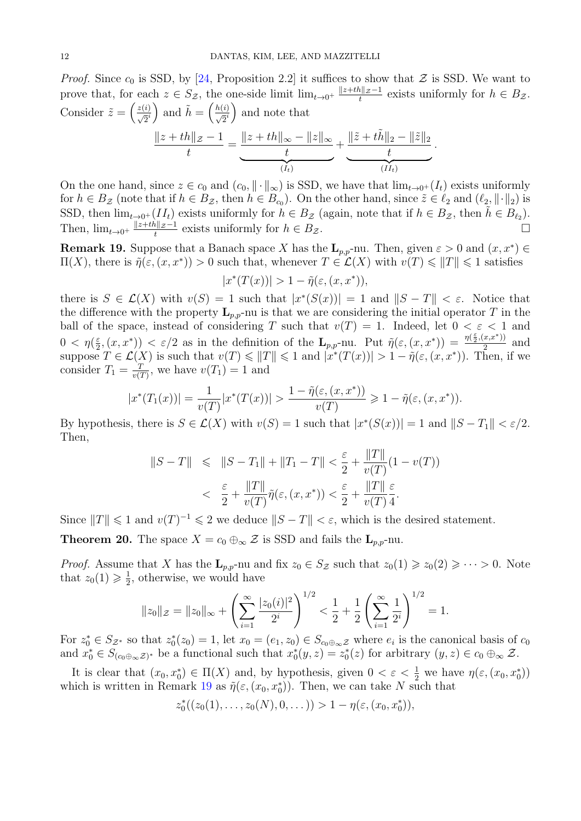*Proof.* Since  $c_0$  is SSD, by [\[24,](#page-15-23) Proposition 2.2] it suffices to show that  $\mathcal Z$  is SSD. We want to prove that, for each  $z \in S_{\mathcal{Z}}$ , the one-side limit  $\lim_{t \to 0^+} \frac{\|z+th\|_{\mathcal{Z}} - 1}{t}$  $\frac{h\|Z^{-1}}{t}$  exists uniformly for  $h \in B_{\mathcal{Z}}$ . Consider  $\tilde{z} = \left(\frac{z(i)}{\sqrt{2}^i}\right)$  and  $\tilde{h} = \left(\frac{h(i)}{\sqrt{2}^i}\right)$  and note that  $||z + th||z - 1$ t  $= \frac{\|z + th\|_{\infty} - \|z\|_{\infty}}{t}$ t  $+\frac{\|\tilde{z}+t\tilde{h}\|_2-\|\tilde{z}\|_2}{t}$ t .

On the one hand, since  $z \in c_0$  and  $(c_0, \|\cdot\|_{\infty})$  is SSD, we have that  $\lim_{t\to 0^+} (I_t)$  exists uniformly for  $h \in B_{\mathcal{Z}}$  (note that if  $h \in B_{\mathcal{Z}}$ , then  $h \in B_{c_0}$ ). On the other hand, since  $\tilde{z} \in \ell_2$  and  $(\ell_2, \|\cdot\|_2)$  is SSD, then  $\lim_{t\to 0^+}(II_t)$  exists uniformly for  $h \in B_{\mathcal{Z}}$  (again, note that if  $h \in B_{\mathcal{Z}}$ , then  $\tilde{h} \in B_{\ell_2}$ ). Then,  $\lim_{t\to 0^+} \frac{\|z+th\|_{\mathcal{Z}}-1}{t}$  $\frac{h\|z-1}{t}$  exists uniformly for  $h \in B_z$ .

 $(I_t)$ 

 $(II_t)$ 

<span id="page-11-1"></span>**Remark 19.** Suppose that a Banach space X has the  $\mathbf{L}_{p,p}$ -nu. Then, given  $\varepsilon > 0$  and  $(x, x^*) \in$  $\Pi(X)$ , there is  $\tilde{\eta}(\varepsilon,(x,x^*))>0$  such that, whenever  $T\in\mathcal{L}(X)$  with  $v(T)\leqslant ||T||\leqslant 1$  satisfies

$$
|x^*(T(x))| > 1 - \tilde{\eta}(\varepsilon, (x, x^*)),
$$

there is  $S \in \mathcal{L}(X)$  with  $v(S) = 1$  such that  $|x^*(S(x))| = 1$  and  $||S-T|| < \varepsilon$ . Notice that the difference with the property  $\mathbf{L}_{p,p}$ -nu is that we are considering the initial operator T in the ball of the space, instead of considering T such that  $v(T) = 1$ . Indeed, let  $0 < \varepsilon < 1$  and  $0 < \eta(\frac{\varepsilon}{2})$  $\frac{\varepsilon}{2}$ ,  $(x, x^*)$   $\leq \varepsilon/2$  as in the definition of the  $\mathbf{L}_{p,p}$ -nu. Put  $\tilde{\eta}(\varepsilon, (x, x^*)) = \frac{\eta(\frac{\varepsilon}{2}, (x, x^*))}{2}$  $rac{x,x-11}{2}$  and suppose  $T \in \mathcal{L}(X)$  is such that  $v(T) \leq ||T|| \leq 1$  and  $|x^*(T(x))| > 1 - \tilde{\eta}(\varepsilon, (x, x^*))$ . Then, if we consider  $T_1 = \frac{T}{v^{(1)}}$  $\frac{T}{v(T)}$ , we have  $v(T_1) = 1$  and

$$
|x^*(T_1(x))| = \frac{1}{v(T)}|x^*(T(x))| > \frac{1 - \tilde{\eta}(\varepsilon, (x, x^*))}{v(T)} \ge 1 - \tilde{\eta}(\varepsilon, (x, x^*)).
$$

By hypothesis, there is  $S \in \mathcal{L}(X)$  with  $v(S) = 1$  such that  $|x^*(S(x))| = 1$  and  $||S - T_1|| < \varepsilon/2$ . Then,

$$
||S - T|| \le ||S - T_1|| + ||T_1 - T|| < \frac{\varepsilon}{2} + \frac{||T||}{v(T)}(1 - v(T)) < \frac{\varepsilon}{2} + \frac{||T||}{v(T)}\tilde{\eta}(\varepsilon, (x, x^*)) < \frac{\varepsilon}{2} + \frac{||T||}{v(T)}\frac{\varepsilon}{4}.
$$

Since  $||T|| \leq 1$  and  $v(T)^{-1} \leq 2$  we deduce  $||S - T|| < \varepsilon$ , which is the desired statement.

<span id="page-11-0"></span>**Theorem 20.** The space  $X = c_0 \oplus_{\infty} \mathcal{Z}$  is SSD and fails the  $\mathbf{L}_{p,p}$ -nu.

*Proof.* Assume that X has the  $\mathbf{L}_{p,p}$ -nu and fix  $z_0 \in S_{\mathcal{Z}}$  such that  $z_0(1) \geq z_0(2) \geq \cdots > 0$ . Note that  $z_0(1) \geqslant \frac{1}{2}$  $\frac{1}{2}$ , otherwise, we would have

$$
||z_0||_{\mathcal{Z}} = ||z_0||_{\infty} + \left(\sum_{i=1}^{\infty} \frac{|z_0(i)|^2}{2^i}\right)^{1/2} < \frac{1}{2} + \frac{1}{2} \left(\sum_{i=1}^{\infty} \frac{1}{2^i}\right)^{1/2} = 1.
$$

For  $z_0^* \in S_{\mathcal{Z}^*}$  so that  $z_0^*(z_0) = 1$ , let  $x_0 = (e_1, z_0) \in S_{c_0 \oplus \infty} \mathcal{Z}$  where  $e_i$  is the canonical basis of  $c_0$ and  $x_0^* \in S_{(c_0 \oplus_\infty \mathcal{Z})^*}$  be a functional such that  $x_0^*(y, z) = z_0^*(z)$  for arbitrary  $(y, z) \in c_0 \oplus_\infty \mathcal{Z}$ .

It is clear that  $(x_0, x_0^*) \in \Pi(X)$  and, by hypothesis, given  $0 < \varepsilon < \frac{1}{2}$  we have  $\eta(\varepsilon, (x_0, x_0^*))$ which is written in Remark [19](#page-11-1) as  $\tilde{\eta}(\varepsilon,(x_0,x_0^*))$ . Then, we can take N such that

$$
z_0^*((z_0(1),...,z_0(N),0,...)) > 1 - \eta(\varepsilon,(x_0,x_0^*)),
$$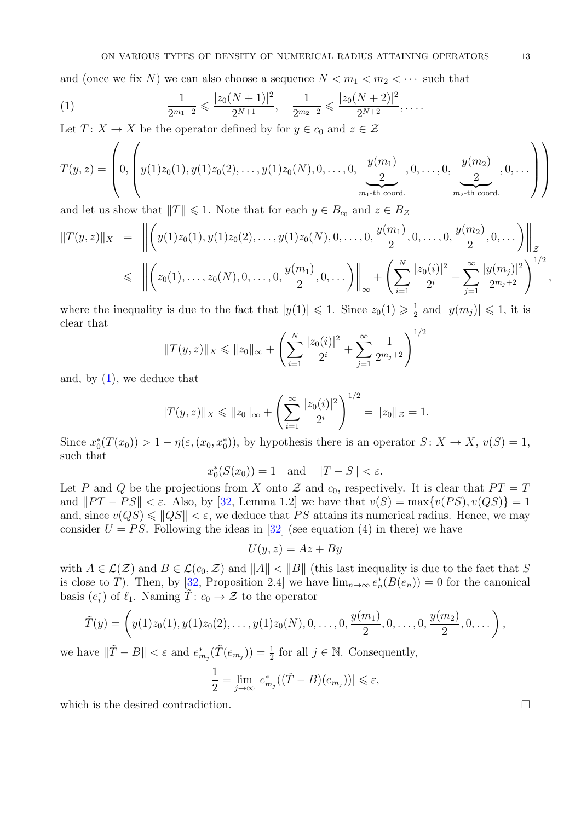and (once we fix N) we can also choose a sequence  $N < m_1 < m_2 < \cdots$  such that

<span id="page-12-0"></span>(1) 
$$
\frac{1}{2^{m_1+2}} \leqslant \frac{|z_0(N+1)|^2}{2^{N+1}}, \quad \frac{1}{2^{m_2+2}} \leqslant \frac{|z_0(N+2)|^2}{2^{N+2}}, \ldots
$$

Let  $T: X \to X$  be the operator defined by for  $y \in c_0$  and  $z \in \mathcal{Z}$ 

$$
T(y,z) = \left(0, \left(y(1)z_0(1), y(1)z_0(2), \dots, y(1)z_0(N), 0, \dots, 0, \underbrace{\frac{y(m_1)}{2}}_{m_1 \text{-th coord.}}, 0, \dots, 0, \underbrace{\frac{y(m_2)}{2}}_{m_2 \text{-th coord.}}, 0, \dots\right)\right)
$$

and let us show that  $||T|| \leq 1$ . Note that for each  $y \in B_{c_0}$  and  $z \in B_{\mathcal{Z}}$ 

$$
||T(y,z)||_X = \left\| \left( y(1)z_0(1), y(1)z_0(2), \dots, y(1)z_0(N), 0, \dots, 0, \frac{y(m_1)}{2}, 0, \dots, 0, \frac{y(m_2)}{2}, 0, \dots \right) \right\|_Z
$$
  
\$\leq \left\| \left( z\_0(1), \dots, z\_0(N), 0, \dots, 0, \frac{y(m\_1)}{2}, 0, \dots \right) \right\|\_{\infty} + \left( \sum\_{i=1}^N \frac{|z\_0(i)|^2}{2^i} + \sum\_{j=1}^\infty \frac{|y(m\_j)|^2}{2^{m\_j+2}} \right)^{1/2},

where the inequality is due to the fact that  $|y(1)| \leq 1$ . Since  $z_0(1) \geq \frac{1}{2}$  $\frac{1}{2}$  and  $|y(m_j)| \leq 1$ , it is clear that

$$
||T(y,z)||_X \le ||z_0||_{\infty} + \left(\sum_{i=1}^N \frac{|z_0(i)|^2}{2^i} + \sum_{j=1}^\infty \frac{1}{2^{m_j+2}}\right)^{1/2}
$$

and, by  $(1)$ , we deduce that

$$
||T(y, z)||_X \le ||z_0||_{\infty} + \left(\sum_{i=1}^{\infty} \frac{|z_0(i)|^2}{2^i}\right)^{1/2} = ||z_0||_{\mathcal{Z}} = 1.
$$

Since  $x_0^*(T(x_0)) > 1 - \eta(\varepsilon, (x_0, x_0^*))$ , by hypothesis there is an operator  $S: X \to X$ ,  $v(S) = 1$ , such that

$$
x_0^*(S(x_0)) = 1
$$
 and  $||T - S|| < \varepsilon$ .

Let P and Q be the projections from X onto Z and  $c_0$ , respectively. It is clear that  $PT = T$ and  $||PT - PS|| < \varepsilon$ . Also, by [\[32,](#page-15-5) Lemma 1.2] we have that  $v(S) = \max\{v(PS), v(QS)\} = 1$ and, since  $v(QS) \leq ||QS|| < \varepsilon$ , we deduce that PS attains its numerical radius. Hence, we may consider  $U = PS$ . Following the ideas in [\[32\]](#page-15-5) (see equation (4) in there) we have

$$
U(y, z) = Az + By
$$

with  $A \in \mathcal{L}(\mathcal{Z})$  and  $B \in \mathcal{L}(c_0, \mathcal{Z})$  and  $||A|| < ||B||$  (this last inequality is due to the fact that S is close to T). Then, by [\[32,](#page-15-5) Proposition 2.4] we have  $\lim_{n\to\infty} e_n^*(B(e_n)) = 0$  for the canonical basis  $(e_i^*)$  of  $\ell_1$ . Naming  $\tilde{T}: c_0 \to \mathcal{Z}$  to the operator

$$
\tilde{T}(y) = \left(y(1)z_0(1), y(1)z_0(2), \ldots, y(1)z_0(N), 0, \ldots, 0, \frac{y(m_1)}{2}, 0, \ldots, 0, \frac{y(m_2)}{2}, 0, \ldots\right),
$$

we have  $\|\tilde{T} - B\| < \varepsilon$  and  $e^*_{m_j}(\tilde{T}(e_{m_j})) = \frac{1}{2}$  for all  $j \in \mathbb{N}$ . Consequently,

$$
\frac{1}{2} = \lim_{j \to \infty} |e_{m_j}^*((\tilde{T} - B)(e_{m_j}))| \leq \varepsilon,
$$

which is the desired contradiction.  $\Box$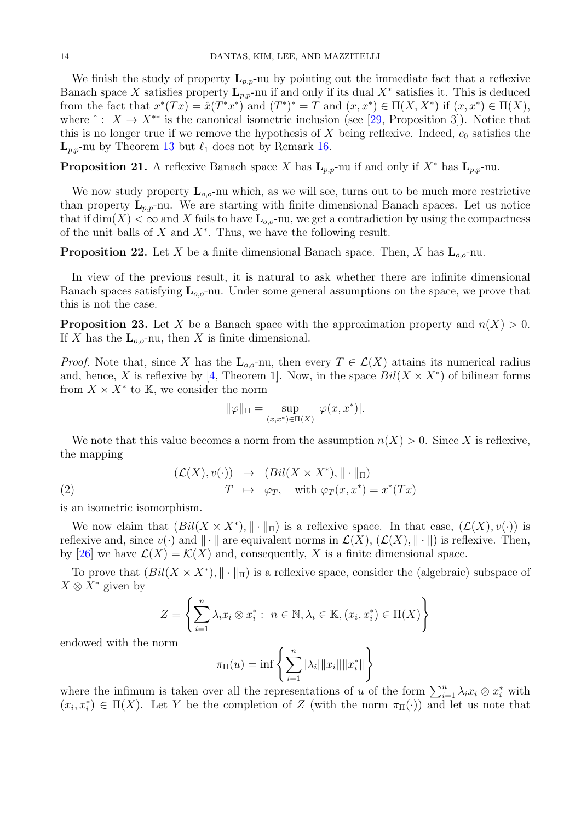We finish the study of property  $\mathbf{L}_{p,p}$ -nu by pointing out the immediate fact that a reflexive Banach space X satisfies property  $\mathbf{L}_{p,p}$ -nu if and only if its dual  $X^*$  satisfies it. This is deduced from the fact that  $x^*(Tx) = \hat{x}(T^*x^*)$  and  $(T^*)^* = T$  and  $(x, x^*) \in \Pi(X, X^*)$  if  $(x, x^*) \in \Pi(X)$ , where  $\hat{ } : X \to X^{**}$  is the canonical isometric inclusion (see [\[29,](#page-15-9) Proposition 3]). Notice that this is no longer true if we remove the hypothesis of X being reflexive. Indeed,  $c_0$  satisfies the  $\mathbf{L}_{p,p}$ -nu by Theorem [13](#page-8-0) but  $\ell_1$  does not by Remark [16.](#page-10-0)

**Proposition 21.** A reflexive Banach space X has  $\mathbf{L}_{p,p}$ -nu if and only if  $X^*$  has  $\mathbf{L}_{p,p}$ -nu.

We now study property  $\mathbf{L}_{o,o}$ -nu which, as we will see, turns out to be much more restrictive than property  $L_{p,p}$ -nu. We are starting with finite dimensional Banach spaces. Let us notice that if  $\dim(X) < \infty$  and X fails to have  $\mathbf{L}_{o,o}$ -nu, we get a contradiction by using the compactness of the unit balls of  $X$  and  $X^*$ . Thus, we have the following result.

<span id="page-13-0"></span>**Proposition 22.** Let X be a finite dimensional Banach space. Then, X has  $\mathbf{L}_{oo}$ -nu.

In view of the previous result, it is natural to ask whether there are infinite dimensional Banach spaces satisfying  $\mathbf{L}_{oo}$ -nu. Under some general assumptions on the space, we prove that this is not the case.

<span id="page-13-1"></span>**Proposition 23.** Let X be a Banach space with the approximation property and  $n(X) > 0$ . If X has the  $\mathbf{L}_{\alpha}$ -nu, then X is finite dimensional.

*Proof.* Note that, since X has the  $\mathbf{L}_{o,o}$ -nu, then every  $T \in \mathcal{L}(X)$  attains its numerical radius and, hence, X is reflexive by [\[4,](#page-14-7) Theorem 1]. Now, in the space  $Bil(X \times X^*)$  of bilinear forms from  $X \times X^*$  to K, we consider the norm

$$
\|\varphi\|_{\Pi} = \sup_{(x,x^*)\in \Pi(X)} |\varphi(x,x^*)|.
$$

We note that this value becomes a norm from the assumption  $n(X) > 0$ . Since X is reflexive, the mapping

(2) 
$$
(\mathcal{L}(X), v(\cdot)) \rightarrow (Bil(X \times X^*), \| \cdot \|_{\Pi})
$$

$$
T \mapsto \varphi_T, \quad \text{with } \varphi_T(x, x^*) = x^*(Tx)
$$

is an isometric isomorphism.

We now claim that  $(Bil(X \times X^*), \|\cdot\|_{\Pi})$  is a reflexive space. In that case,  $(\mathcal{L}(X), v(\cdot))$  is reflexive and, since  $v(\cdot)$  and  $\|\cdot\|$  are equivalent norms in  $\mathcal{L}(X)$ ,  $(\mathcal{L}(X), \|\cdot\|)$  is reflexive. Then, by [\[26\]](#page-15-25) we have  $\mathcal{L}(X) = \mathcal{K}(X)$  and, consequently, X is a finite dimensional space.

To prove that  $(Bil(X \times X^*), \|\cdot\|_{\Pi})$  is a reflexive space, consider the (algebraic) subspace of  $X \otimes X^*$  given by

$$
Z = \left\{ \sum_{i=1}^{n} \lambda_i x_i \otimes x_i^* : n \in \mathbb{N}, \lambda_i \in \mathbb{K}, (x_i, x_i^*) \in \Pi(X) \right\}
$$

endowed with the norm

$$
\pi_{\Pi}(u) = \inf \left\{ \sum_{i=1}^{n} |\lambda_i| \|x_i\| \|x_i^*\| \right\}
$$

where the infimum is taken over all the representations of u of the form  $\sum_{i=1}^{n} \lambda_i x_i \otimes x_i^*$  with  $(x_i, x_i^*) \in \Pi(X)$ . Let Y be the completion of Z (with the norm  $\pi_{\Pi}(\cdot)$ ) and let us note that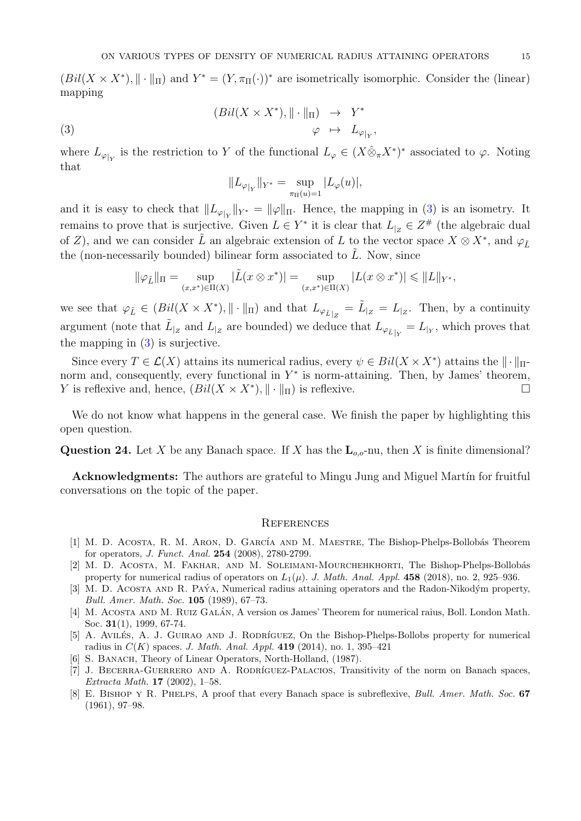$(Bil(X \times X^*), \|\cdot\|_{\Pi})$  and  $Y^* = (Y, \pi_{\Pi}(\cdot))^*$  are isometrically isomorphic. Consider the (linear) mapping

(3) 
$$
(Bil(X \times X^*), \| \cdot \|_{\Pi}) \rightarrow Y^* \varphi \mapsto L_{\varphi|_Y},
$$

where  $L_{\varphi|_Y}$  is the restriction to Y of the functional  $L_{\varphi} \in (X \hat{\otimes}_{\pi} X^*)^*$  associated to  $\varphi$ . Noting that

<span id="page-14-8"></span>
$$
||L_{\varphi|_Y}||_{Y^*} = \sup_{\pi_{\Pi}(u) = 1} |L_{\varphi}(u)|,
$$

and it is easy to check that  $||L_{\varphi|_Y}||_{Y^*} = ||\varphi||_{\Pi}$ . Hence, the mapping in [\(3\)](#page-14-8) is an isometry. It remains to prove that is surjective. Given  $L \in Y^*$  it is clear that  $L_{|z|} \in Z^{\#}$  (the algebraic dual of Z), and we can consider  $\tilde{L}$  an algebraic extension of L to the vector space  $X \otimes X^*$ , and  $\varphi_{\tilde{L}}$ the (non-necessarily bounded) bilinear form associated to  $\tilde{L}$ . Now, since

$$
\|\varphi_{\tilde{L}}\|_{\Pi} = \sup_{(x,x^*) \in \Pi(X)} |\tilde{L}(x \otimes x^*)| = \sup_{(x,x^*) \in \Pi(X)} |L(x \otimes x^*)| \leq \|L\|_{Y^*},
$$

we see that  $\varphi_{\tilde{L}} \in (Bil(X \times X^*), \|\cdot\|_{\Pi})$  and that  $L_{\varphi_{\tilde{L}}|_Z} = \tilde{L}_{|Z} = L_{|Z}$ . Then, by a continuity argument (note that  $\tilde{L}_{z}$  and  $L_{z}$  are bounded) we deduce that  $L_{\varphi_{\tilde{L}}|Y} = L_{Y}$ , which proves that the mapping in [\(3\)](#page-14-8) is surjective.

Since every  $T \in \mathcal{L}(X)$  attains its numerical radius, every  $\psi \in Bil(X \times X^*)$  attains the  $\|\cdot\|_{\Pi}$ norm and, consequently, every functional in  $Y^*$  is norm-attaining. Then, by James' theorem, Y is reflexive and, hence,  $(Bil(X \times X^*), \| \cdot \|_{\Pi})$  is reflexive.

We do not know what happens in the general case. We finish the paper by highlighting this open question.

**Question 24.** Let X be any Banach space. If X has the  $\mathbf{L}_{o,o}$ -nu, then X is finite dimensional?

Acknowledgments: The authors are grateful to Mingu Jung and Miguel Martín for fruitful conversations on the topic of the paper.

#### **REFERENCES**

- <span id="page-14-2"></span>[1] M. D. ACOSTA, R. M. ARON, D. GARCÍA AND M. MAESTRE, The Bishop-Phelps-Bollobás Theorem for operators, J. Funct. Anal. 254 (2008), 2780-2799.
- <span id="page-14-3"></span>[2] M. D. ACOSTA, M. FAKHAR, AND M. SOLEIMANI-MOURCHEHKHORTI, The Bishop-Phelps-Bollobás property for numerical radius of operators on  $L_1(\mu)$ . J. Math. Anal. Appl. 458 (2018), no. 2, 925–936.
- <span id="page-14-1"></span>[3] M. D. ACOSTA AND R. PAÝA, Numerical radius attaining operators and the Radon-Nikodým property, Bull. Amer. Math. Soc. 105 (1989), 67–73.
- <span id="page-14-7"></span>[4] M. ACOSTA AND M. RUIZ GALÁN, A version os James' Theorem for numerical raius, Boll. London Math. Soc. 31(1), 1999, 67-74.
- <span id="page-14-4"></span>[5] A. AVILÉS, A. J. GUIRAO AND J. RODRÍGUEZ, On the Bishop-Phelps-Bollobs property for numerical radius in  $C(K)$  spaces. J. Math. Anal. Appl. 419 (2014), no. 1, 395-421
- <span id="page-14-5"></span>[6] S. BANACH, Theory of Linear Operators, North-Holland, (1987).
- <span id="page-14-6"></span>[7] J. BECERRA-GUERRERO AND A. RODRÍGUEZ-PALACIOS, Transitivity of the norm on Banach spaces, Extracta Math. 17 (2002), 1–58.
- <span id="page-14-0"></span>[8] E. BISHOP Y R. PHELPS, A proof that every Banach space is subreflexive, *Bull. Amer. Math. Soc.* 67 (1961), 97–98.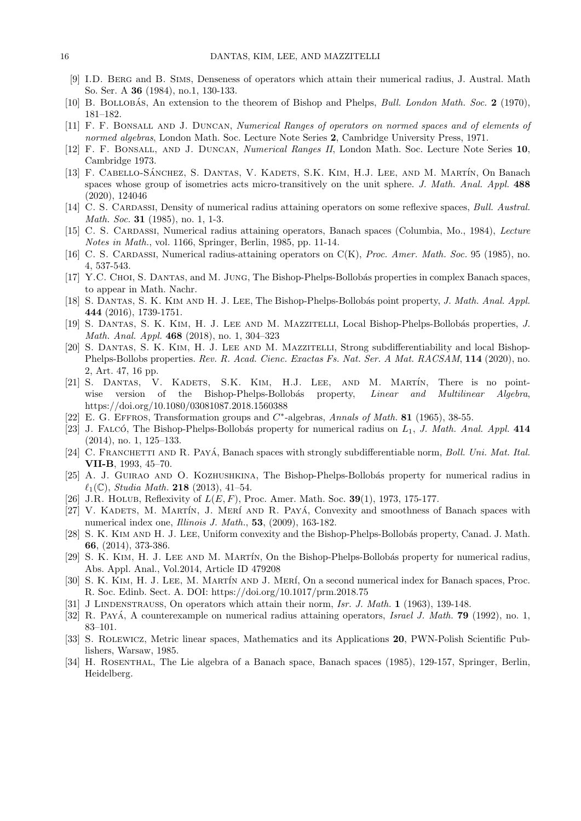- <span id="page-15-1"></span>[9] I.D. Berg and B. Sims, Denseness of operators which attain their numerical radius, J. Austral. Math So. Ser. A 36 (1984), no.1, 130-133.
- <span id="page-15-6"></span>[10] B. BOLLOBÁS, An extension to the theorem of Bishop and Phelps, *Bull. London Math. Soc.* 2 (1970), 181–182.
- <span id="page-15-10"></span>[11] F. F. Bonsall and J. Duncan, Numerical Ranges of operators on normed spaces and of elements of normed algebras, London Math. Soc. Lecture Note Series 2, Cambridge University Press, 1971.
- <span id="page-15-11"></span>[12] F. F. Bonsall, and J. Duncan, Numerical Ranges II, London Math. Soc. Lecture Note Series 10, Cambridge 1973.
- <span id="page-15-18"></span>[13] F. CABELLO-SÁNCHEZ, S. DANTAS, V. KADETS, S.K. KIM, H.J. LEE, AND M. MARTÍN, On Banach spaces whose group of isometries acts micro-transitively on the unit sphere. J. Math. Anal. Appl. 488 (2020), 124046
- <span id="page-15-2"></span>[14] C. S. CARDASSI, Density of numerical radius attaining operators on some reflexive spaces, Bull. Austral. Math. Soc. **31** (1985), no. 1, 1-3.
- <span id="page-15-3"></span>[15] C. S. CARDASSI, Numerical radius attaining operators, Banach spaces (Columbia, Mo., 1984), Lecture Notes in Math., vol. 1166, Springer, Berlin, 1985, pp. 11-14.
- <span id="page-15-4"></span>[16] C. S. CARDASSI, Numerical radius-attaining operators on C(K), *Proc. Amer. Math. Soc.* 95 (1985), no. 4, 537-543.
- <span id="page-15-13"></span>[17] Y.C. CHOI, S. DANTAS, and M. JUNG, The Bishop-Phelps-Bollobás properties in complex Banach spaces, to appear in Math. Nachr.
- <span id="page-15-14"></span>[18] S. DANTAS, S. K. KIM AND H. J. LEE, The Bishop-Phelps-Bollobás point property, J. Math. Anal. Appl. 444 (2016), 1739-1751.
- <span id="page-15-21"></span>[19] S. DANTAS, S. K. KIM, H. J. LEE AND M. MAZZITELLI, Local Bishop-Phelps-Bollobás properties, J. Math. Anal. Appl. 468 (2018), no. 1, 304–323
- <span id="page-15-22"></span>[20] S. Dantas, S. K. Kim, H. J. Lee and M. Mazzitelli, Strong subdifferentiability and local Bishop-Phelps-Bollobs properties. Rev. R. Acad. Cienc. Exactas Fs. Nat. Ser. A Mat. RACSAM, 114 (2020), no. 2, Art. 47, 16 pp.
- <span id="page-15-15"></span>[21] S. DANTAS, V. KADETS, S.K. KIM, H.J. LEE, AND M. MARTÍN, There is no pointwise version of the Bishop-Phelps-Bollobás property, *Linear and Multilinear Algebra*, https://doi.org/10.1080/03081087.2018.1560388
- <span id="page-15-17"></span>[22] E. G. EFFROS, Transformation groups and  $C^*$ -algebras, Annals of Math. 81 (1965), 38-55.
- <span id="page-15-7"></span>[23] J. FALCÓ, The Bishop-Phelps-Bollobás property for numerical radius on  $L_1$ , J. Math. Anal. Appl. 414 (2014), no. 1, 125–133.
- <span id="page-15-23"></span>[24] C. FRANCHETTI AND R. PAYÁ, Banach spaces with strongly subdifferentiable norm, Boll. Uni. Mat. Ital. VII-B, 1993, 45–70.
- <span id="page-15-8"></span>[25] A. J. GUIRAO AND O. KOZHUSHKINA, The Bishop-Phelps-Bollobás property for numerical radius in  $\ell_1(\mathbb{C})$ , Studia Math. 218 (2013), 41–54.
- <span id="page-15-25"></span>[26] J.R. HOLUB, Reflexivity of  $L(E, F)$ , Proc. Amer. Math. Soc. 39(1), 1973, 175-177.
- <span id="page-15-20"></span>[27] V. KADETS, M. MARTÍN, J. MERÍ AND R. PAYÁ, Convexity and smoothness of Banach spaces with numerical index one, *Illinois J. Math.*, **53**, (2009), 163-182.
- <span id="page-15-19"></span>[28] S. K. KIM AND H. J. LEE, Uniform convexity and the Bishop-Phelps-Bollobás property, Canad. J. Math. 66, (2014), 373-386.
- <span id="page-15-9"></span>[29] S. K. KIM, H. J. LEE AND M. MARTÍN, On the Bishop-Phelps-Bollobás property for numerical radius, Abs. Appl. Anal., Vol.2014, Article ID 479208
- <span id="page-15-12"></span>[30] S. K. KIM, H. J. LEE, M. MARTÍN AND J. MERÍ, On a second numerical index for Banach spaces, Proc. R. Soc. Edinb. Sect. A. DOI: https://doi.org/10.1017/prm.2018.75
- <span id="page-15-0"></span>[31] J LINDENSTRAUSS, On operators which attain their norm, Isr. J. Math. 1 (1963), 139-148.
- <span id="page-15-5"></span>[32] R. Payá, A counterexample on numerical radius attaining operators, *Israel J. Math.* **79** (1992), no. 1, 83–101.
- <span id="page-15-16"></span>[33] S. Rolewicz, Metric linear spaces, Mathematics and its Applications 20, PWN-Polish Scientific Publishers, Warsaw, 1985.
- <span id="page-15-24"></span>[34] H. Rosenthal, The Lie algebra of a Banach space, Banach spaces (1985), 129-157, Springer, Berlin, Heidelberg.